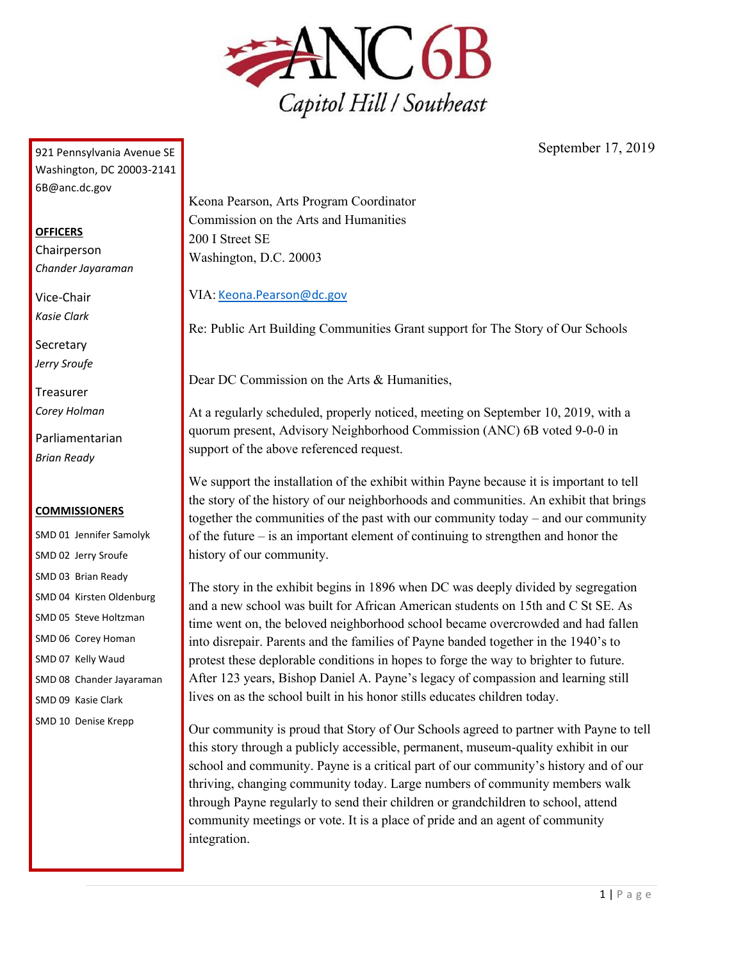

921 Pennsylvania Avenue SE Washington, DC 20003-2141 6B@anc.dc.gov

## **OFFICERS**

Chairperson *Chander Jayaraman*

Vice-Chair *Kasie Clark*

**Secretary** *Jerry Sroufe*

Treasurer *Corey Holman*

Parliamentarian *Brian Ready*

## **COMMISSIONERS**

SMD 01 Jennifer Samolyk SMD 02 Jerry Sroufe SMD 03 Brian Ready SMD 04 Kirsten Oldenburg SMD 05 Steve Holtzman SMD 06 Corey Homan SMD 07 Kelly Waud SMD 08 Chander Jayaraman SMD 09 Kasie Clark SMD 10 Denise Krepp

September 17, 2019

Keona Pearson, Arts Program Coordinator Commission on the Arts and Humanities 200 I Street SE Washington, D.C. 20003

VIA: [Keona.Pearson@dc.gov](mailto:Keona.Pearson@dc.gov)

Re: Public Art Building Communities Grant support for The Story of Our Schools

Dear DC Commission on the Arts & Humanities,

At a regularly scheduled, properly noticed, meeting on September 10, 2019, with a quorum present, Advisory Neighborhood Commission (ANC) 6B voted 9-0-0 in support of the above referenced request.

We support the installation of the exhibit within Payne because it is important to tell the story of the history of our neighborhoods and communities. An exhibit that brings together the communities of the past with our community today – and our community of the future – is an important element of continuing to strengthen and honor the history of our community.

The story in the exhibit begins in 1896 when DC was deeply divided by segregation and a new school was built for African American students on 15th and C St SE. As time went on, the beloved neighborhood school became overcrowded and had fallen into disrepair. Parents and the families of Payne banded together in the 1940's to protest these deplorable conditions in hopes to forge the way to brighter to future. After 123 years, Bishop Daniel A. Payne's legacy of compassion and learning still lives on as the school built in his honor stills educates children today.

Our community is proud that Story of Our Schools agreed to partner with Payne to tell this story through a publicly accessible, permanent, museum-quality exhibit in our school and community. Payne is a critical part of our community's history and of our thriving, changing community today. Large numbers of community members walk through Payne regularly to send their children or grandchildren to school, attend community meetings or vote. It is a place of pride and an agent of community integration.